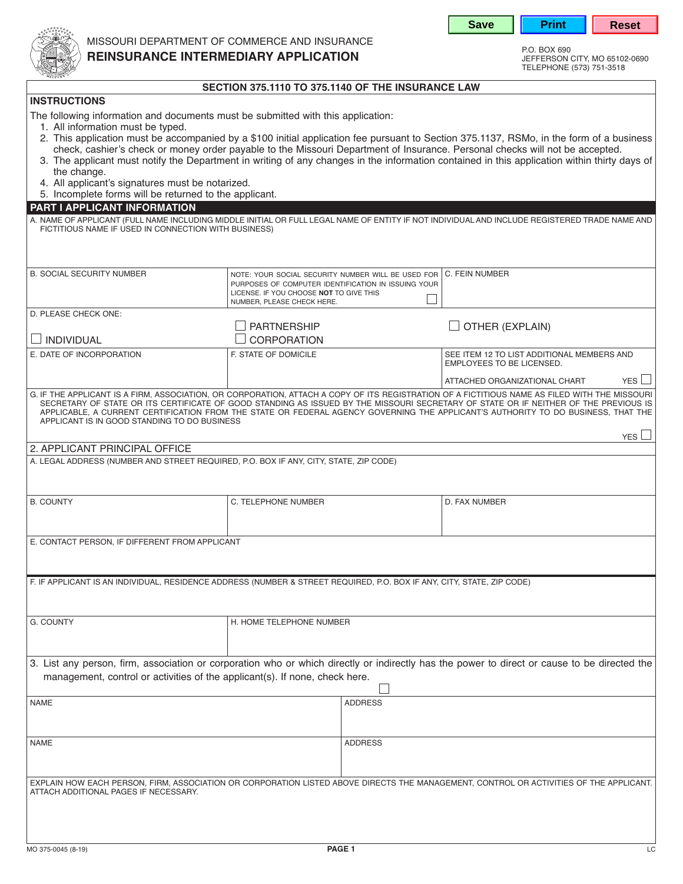



missouri department of commerce and insurance

## **REINSURANCE INTERMEDIARY APPLICATION**

jefferson city, mo 65102-0690 telephone (573) 751-3518

|--|

| <b>INSTRUCTIONS</b>                                                                                                                                                                                                                                                                                                                                                                                                                                                        |                                                                                                                                                                                    |  |                                                                                                                                                                                                                                                                          |  |  |
|----------------------------------------------------------------------------------------------------------------------------------------------------------------------------------------------------------------------------------------------------------------------------------------------------------------------------------------------------------------------------------------------------------------------------------------------------------------------------|------------------------------------------------------------------------------------------------------------------------------------------------------------------------------------|--|--------------------------------------------------------------------------------------------------------------------------------------------------------------------------------------------------------------------------------------------------------------------------|--|--|
| The following information and documents must be submitted with this application:<br>1. All information must be typed.                                                                                                                                                                                                                                                                                                                                                      |                                                                                                                                                                                    |  | 2. This application must be accompanied by a \$100 initial application fee pursuant to Section 375.1137, RSMo, in the form of a business<br>check, cashier's check or money order payable to the Missouri Department of Insurance. Personal checks will not be accepted. |  |  |
| the change.<br>4. All applicant's signatures must be notarized.                                                                                                                                                                                                                                                                                                                                                                                                            |                                                                                                                                                                                    |  | 3. The applicant must notify the Department in writing of any changes in the information contained in this application within thirty days of                                                                                                                             |  |  |
| 5. Incomplete forms will be returned to the applicant.                                                                                                                                                                                                                                                                                                                                                                                                                     |                                                                                                                                                                                    |  |                                                                                                                                                                                                                                                                          |  |  |
| PART I APPLICANT INFORMATION<br>FICTITIOUS NAME IF USED IN CONNECTION WITH BUSINESS)                                                                                                                                                                                                                                                                                                                                                                                       |                                                                                                                                                                                    |  | A. NAME OF APPLICANT (FULL NAME INCLUDING MIDDLE INITIAL OR FULL LEGAL NAME OF ENTITY IF NOT INDIVIDUAL AND INCLUDE REGISTERED TRADE NAME AND                                                                                                                            |  |  |
|                                                                                                                                                                                                                                                                                                                                                                                                                                                                            |                                                                                                                                                                                    |  |                                                                                                                                                                                                                                                                          |  |  |
| <b>B. SOCIAL SECURITY NUMBER</b>                                                                                                                                                                                                                                                                                                                                                                                                                                           | NOTE: YOUR SOCIAL SECURITY NUMBER WILL BE USED FOR<br>PURPOSES OF COMPUTER IDENTIFICATION IN ISSUING YOUR<br>LICENSE. IF YOU CHOOSE NOT TO GIVE THIS<br>NUMBER, PLEASE CHECK HERE. |  | C. FEIN NUMBER                                                                                                                                                                                                                                                           |  |  |
| D. PLEASE CHECK ONE:                                                                                                                                                                                                                                                                                                                                                                                                                                                       |                                                                                                                                                                                    |  |                                                                                                                                                                                                                                                                          |  |  |
|                                                                                                                                                                                                                                                                                                                                                                                                                                                                            | <b>PARTNERSHIP</b>                                                                                                                                                                 |  | OTHER (EXPLAIN)                                                                                                                                                                                                                                                          |  |  |
| INDIVIDUAL                                                                                                                                                                                                                                                                                                                                                                                                                                                                 | CORPORATION                                                                                                                                                                        |  |                                                                                                                                                                                                                                                                          |  |  |
| E. DATE OF INCORPORATION                                                                                                                                                                                                                                                                                                                                                                                                                                                   | F. STATE OF DOMICILE                                                                                                                                                               |  | SEE ITEM 12 TO LIST ADDITIONAL MEMBERS AND<br><b>EMPLOYEES TO BE LICENSED.</b>                                                                                                                                                                                           |  |  |
|                                                                                                                                                                                                                                                                                                                                                                                                                                                                            |                                                                                                                                                                                    |  | <b>YES</b><br>ATTACHED ORGANIZATIONAL CHART                                                                                                                                                                                                                              |  |  |
| G. IF THE APPLICANT IS A FIRM, ASSOCIATION, OR CORPORATION, ATTACH A COPY OF ITS REGISTRATION OF A FICTITIOUS NAME AS FILED WITH THE MISSOURI<br>SECRETARY OF STATE OR ITS CERTIFICATE OF GOOD STANDING AS ISSUED BY THE MISSOURI SECRETARY OF STATE OR IF NEITHER OF THE PREVIOUS IS<br>APPLICABLE, A CURRENT CERTIFICATION FROM THE STATE OR FEDERAL AGENCY GOVERNING THE APPLICANT'S AUTHORITY TO DO BUSINESS, THAT THE<br>APPLICANT IS IN GOOD STANDING TO DO BUSINESS |                                                                                                                                                                                    |  |                                                                                                                                                                                                                                                                          |  |  |
| 2. APPLICANT PRINCIPAL OFFICE                                                                                                                                                                                                                                                                                                                                                                                                                                              |                                                                                                                                                                                    |  | YES <sup>I</sup>                                                                                                                                                                                                                                                         |  |  |
| A. LEGAL ADDRESS (NUMBER AND STREET REQUIRED, P.O. BOX IF ANY, CITY, STATE, ZIP CODE)                                                                                                                                                                                                                                                                                                                                                                                      |                                                                                                                                                                                    |  |                                                                                                                                                                                                                                                                          |  |  |
| <b>B. COUNTY</b>                                                                                                                                                                                                                                                                                                                                                                                                                                                           | C. TELEPHONE NUMBER                                                                                                                                                                |  | D. FAX NUMBER                                                                                                                                                                                                                                                            |  |  |
| E. CONTACT PERSON, IF DIFFERENT FROM APPLICANT                                                                                                                                                                                                                                                                                                                                                                                                                             |                                                                                                                                                                                    |  |                                                                                                                                                                                                                                                                          |  |  |
| F. IF APPLICANT IS AN INDIVIDUAL, RESIDENCE ADDRESS (NUMBER & STREET REQUIRED, P.O. BOX IF ANY, CITY, STATE, ZIP CODE)                                                                                                                                                                                                                                                                                                                                                     |                                                                                                                                                                                    |  |                                                                                                                                                                                                                                                                          |  |  |
|                                                                                                                                                                                                                                                                                                                                                                                                                                                                            |                                                                                                                                                                                    |  |                                                                                                                                                                                                                                                                          |  |  |
| G. COUNTY<br>H. HOME TELEPHONE NUMBER                                                                                                                                                                                                                                                                                                                                                                                                                                      |                                                                                                                                                                                    |  |                                                                                                                                                                                                                                                                          |  |  |
| management, control or activities of the applicant(s). If none, check here.                                                                                                                                                                                                                                                                                                                                                                                                |                                                                                                                                                                                    |  | 3. List any person, firm, association or corporation who or which directly or indirectly has the power to direct or cause to be directed the                                                                                                                             |  |  |
|                                                                                                                                                                                                                                                                                                                                                                                                                                                                            |                                                                                                                                                                                    |  |                                                                                                                                                                                                                                                                          |  |  |
| <b>NAME</b><br><b>ADDRESS</b>                                                                                                                                                                                                                                                                                                                                                                                                                                              |                                                                                                                                                                                    |  |                                                                                                                                                                                                                                                                          |  |  |
| <b>NAME</b><br><b>ADDRESS</b>                                                                                                                                                                                                                                                                                                                                                                                                                                              |                                                                                                                                                                                    |  |                                                                                                                                                                                                                                                                          |  |  |
|                                                                                                                                                                                                                                                                                                                                                                                                                                                                            |                                                                                                                                                                                    |  |                                                                                                                                                                                                                                                                          |  |  |
| ATTACH ADDITIONAL PAGES IF NECESSARY.                                                                                                                                                                                                                                                                                                                                                                                                                                      |                                                                                                                                                                                    |  | EXPLAIN HOW EACH PERSON, FIRM, ASSOCIATION OR CORPORATION LISTED ABOVE DIRECTS THE MANAGEMENT, CONTROL OR ACTIVITIES OF THE APPLICANT.                                                                                                                                   |  |  |
|                                                                                                                                                                                                                                                                                                                                                                                                                                                                            |                                                                                                                                                                                    |  |                                                                                                                                                                                                                                                                          |  |  |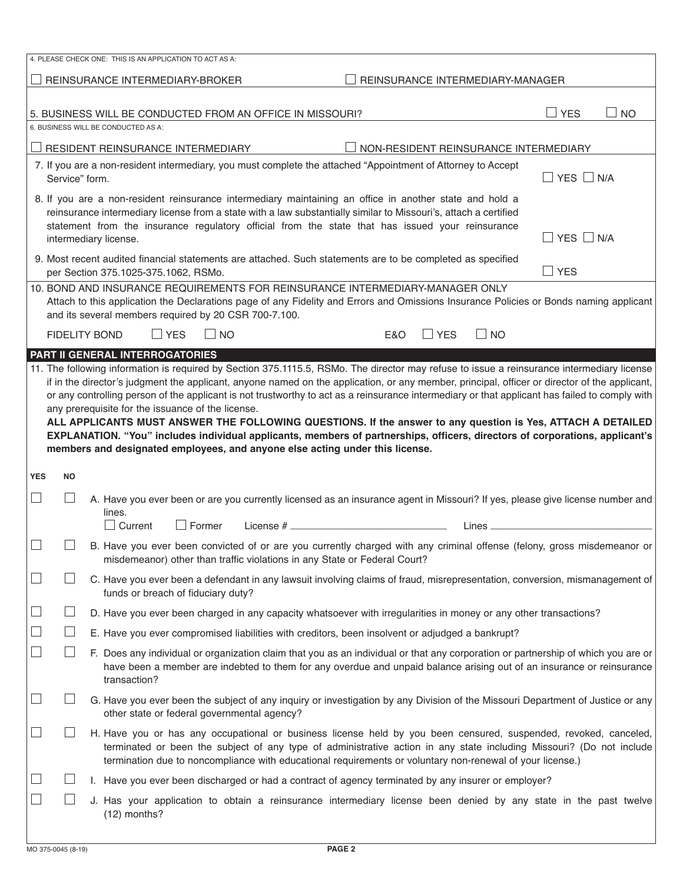|            |                                                                                                                                                                                                                                                                                                                                                                                                                                                                                                                                                                                                                                                                                                                                                                                                                                   |                                     | 4. PLEASE CHECK ONE: THIS IS AN APPLICATION TO ACT AS A:                                                                                                                                                                                                                                                                                              |                    |  |     |            |                                  |                                       |  |
|------------|-----------------------------------------------------------------------------------------------------------------------------------------------------------------------------------------------------------------------------------------------------------------------------------------------------------------------------------------------------------------------------------------------------------------------------------------------------------------------------------------------------------------------------------------------------------------------------------------------------------------------------------------------------------------------------------------------------------------------------------------------------------------------------------------------------------------------------------|-------------------------------------|-------------------------------------------------------------------------------------------------------------------------------------------------------------------------------------------------------------------------------------------------------------------------------------------------------------------------------------------------------|--------------------|--|-----|------------|----------------------------------|---------------------------------------|--|
|            |                                                                                                                                                                                                                                                                                                                                                                                                                                                                                                                                                                                                                                                                                                                                                                                                                                   |                                     | REINSURANCE INTERMEDIARY-BROKER                                                                                                                                                                                                                                                                                                                       |                    |  |     |            | REINSURANCE INTERMEDIARY-MANAGER |                                       |  |
|            | $\Box$ YES<br><b>NO</b><br>5. BUSINESS WILL BE CONDUCTED FROM AN OFFICE IN MISSOURI?                                                                                                                                                                                                                                                                                                                                                                                                                                                                                                                                                                                                                                                                                                                                              |                                     |                                                                                                                                                                                                                                                                                                                                                       |                    |  |     |            |                                  |                                       |  |
|            |                                                                                                                                                                                                                                                                                                                                                                                                                                                                                                                                                                                                                                                                                                                                                                                                                                   | 6. BUSINESS WILL BE CONDUCTED AS A: |                                                                                                                                                                                                                                                                                                                                                       |                    |  |     |            |                                  |                                       |  |
|            |                                                                                                                                                                                                                                                                                                                                                                                                                                                                                                                                                                                                                                                                                                                                                                                                                                   |                                     | RESIDENT REINSURANCE INTERMEDIARY                                                                                                                                                                                                                                                                                                                     |                    |  |     |            |                                  | NON-RESIDENT REINSURANCE INTERMEDIARY |  |
|            | Service" form.                                                                                                                                                                                                                                                                                                                                                                                                                                                                                                                                                                                                                                                                                                                                                                                                                    |                                     | 7. If you are a non-resident intermediary, you must complete the attached "Appointment of Attorney to Accept                                                                                                                                                                                                                                          |                    |  |     |            |                                  | $\Box$ YES $\Box$ N/A                 |  |
|            | 8. If you are a non-resident reinsurance intermediary maintaining an office in another state and hold a<br>reinsurance intermediary license from a state with a law substantially similar to Missouri's, attach a certified<br>statement from the insurance regulatory official from the state that has issued your reinsurance<br>$\Box$ YES $\Box$ N/A<br>intermediary license.                                                                                                                                                                                                                                                                                                                                                                                                                                                 |                                     |                                                                                                                                                                                                                                                                                                                                                       |                    |  |     |            |                                  |                                       |  |
|            |                                                                                                                                                                                                                                                                                                                                                                                                                                                                                                                                                                                                                                                                                                                                                                                                                                   |                                     | 9. Most recent audited financial statements are attached. Such statements are to be completed as specified<br>per Section 375.1025-375.1062, RSMo.                                                                                                                                                                                                    |                    |  |     |            |                                  | $\Box$ YES                            |  |
|            |                                                                                                                                                                                                                                                                                                                                                                                                                                                                                                                                                                                                                                                                                                                                                                                                                                   |                                     | 10. BOND AND INSURANCE REQUIREMENTS FOR REINSURANCE INTERMEDIARY-MANAGER ONLY<br>Attach to this application the Declarations page of any Fidelity and Errors and Omissions Insurance Policies or Bonds naming applicant<br>and its several members required by 20 CSR 700-7.100.                                                                      |                    |  |     |            |                                  |                                       |  |
|            |                                                                                                                                                                                                                                                                                                                                                                                                                                                                                                                                                                                                                                                                                                                                                                                                                                   | <b>FIDELITY BOND</b>                | <b>LI</b> YES                                                                                                                                                                                                                                                                                                                                         | <b>NO</b>          |  | E&O | $\Box$ YES | $\Box$ NO                        |                                       |  |
|            |                                                                                                                                                                                                                                                                                                                                                                                                                                                                                                                                                                                                                                                                                                                                                                                                                                   |                                     | PART II GENERAL INTERROGATORIES                                                                                                                                                                                                                                                                                                                       |                    |  |     |            |                                  |                                       |  |
|            | 11. The following information is required by Section 375.1115.5, RSMo. The director may refuse to issue a reinsurance intermediary license<br>if in the director's judgment the applicant, anyone named on the application, or any member, principal, officer or director of the applicant,<br>or any controlling person of the applicant is not trustworthy to act as a reinsurance intermediary or that applicant has failed to comply with<br>any prerequisite for the issuance of the license.<br>ALL APPLICANTS MUST ANSWER THE FOLLOWING QUESTIONS. If the answer to any question is Yes, ATTACH A DETAILED<br>EXPLANATION. "You" includes individual applicants, members of partnerships, officers, directors of corporations, applicant's<br>members and designated employees, and anyone else acting under this license. |                                     |                                                                                                                                                                                                                                                                                                                                                       |                    |  |     |            |                                  |                                       |  |
| <b>YES</b> | NO                                                                                                                                                                                                                                                                                                                                                                                                                                                                                                                                                                                                                                                                                                                                                                                                                                |                                     |                                                                                                                                                                                                                                                                                                                                                       |                    |  |     |            |                                  |                                       |  |
|            |                                                                                                                                                                                                                                                                                                                                                                                                                                                                                                                                                                                                                                                                                                                                                                                                                                   |                                     | A. Have you ever been or are you currently licensed as an insurance agent in Missouri? If yes, please give license number and                                                                                                                                                                                                                         |                    |  |     |            |                                  |                                       |  |
|            |                                                                                                                                                                                                                                                                                                                                                                                                                                                                                                                                                                                                                                                                                                                                                                                                                                   | lines.                              | $\Box$ Current<br>$\Box$ Former                                                                                                                                                                                                                                                                                                                       | License $#$ $\_\_$ |  |     |            | Lines                            |                                       |  |
|            |                                                                                                                                                                                                                                                                                                                                                                                                                                                                                                                                                                                                                                                                                                                                                                                                                                   |                                     | B. Have you ever been convicted of or are you currently charged with any criminal offense (felony, gross misdemeanor or<br>misdemeanor) other than traffic violations in any State or Federal Court?                                                                                                                                                  |                    |  |     |            |                                  |                                       |  |
|            | C. Have you ever been a defendant in any lawsuit involving claims of fraud, misrepresentation, conversion, mismanagement of<br>funds or breach of fiduciary duty?                                                                                                                                                                                                                                                                                                                                                                                                                                                                                                                                                                                                                                                                 |                                     |                                                                                                                                                                                                                                                                                                                                                       |                    |  |     |            |                                  |                                       |  |
|            |                                                                                                                                                                                                                                                                                                                                                                                                                                                                                                                                                                                                                                                                                                                                                                                                                                   |                                     | D. Have you ever been charged in any capacity whatsoever with irregularities in money or any other transactions?                                                                                                                                                                                                                                      |                    |  |     |            |                                  |                                       |  |
|            |                                                                                                                                                                                                                                                                                                                                                                                                                                                                                                                                                                                                                                                                                                                                                                                                                                   |                                     | E. Have you ever compromised liabilities with creditors, been insolvent or adjudged a bankrupt?                                                                                                                                                                                                                                                       |                    |  |     |            |                                  |                                       |  |
|            | F. Does any individual or organization claim that you as an individual or that any corporation or partnership of which you are or<br>have been a member are indebted to them for any overdue and unpaid balance arising out of an insurance or reinsurance<br>transaction?                                                                                                                                                                                                                                                                                                                                                                                                                                                                                                                                                        |                                     |                                                                                                                                                                                                                                                                                                                                                       |                    |  |     |            |                                  |                                       |  |
|            |                                                                                                                                                                                                                                                                                                                                                                                                                                                                                                                                                                                                                                                                                                                                                                                                                                   |                                     | G. Have you ever been the subject of any inquiry or investigation by any Division of the Missouri Department of Justice or any<br>other state or federal governmental agency?                                                                                                                                                                         |                    |  |     |            |                                  |                                       |  |
|            |                                                                                                                                                                                                                                                                                                                                                                                                                                                                                                                                                                                                                                                                                                                                                                                                                                   |                                     | H. Have you or has any occupational or business license held by you been censured, suspended, revoked, canceled,<br>terminated or been the subject of any type of administrative action in any state including Missouri? (Do not include<br>termination due to noncompliance with educational requirements or voluntary non-renewal of your license.) |                    |  |     |            |                                  |                                       |  |
|            |                                                                                                                                                                                                                                                                                                                                                                                                                                                                                                                                                                                                                                                                                                                                                                                                                                   |                                     | I. Have you ever been discharged or had a contract of agency terminated by any insurer or employer?                                                                                                                                                                                                                                                   |                    |  |     |            |                                  |                                       |  |
|            |                                                                                                                                                                                                                                                                                                                                                                                                                                                                                                                                                                                                                                                                                                                                                                                                                                   |                                     | J. Has your application to obtain a reinsurance intermediary license been denied by any state in the past twelve<br>$(12)$ months?                                                                                                                                                                                                                    |                    |  |     |            |                                  |                                       |  |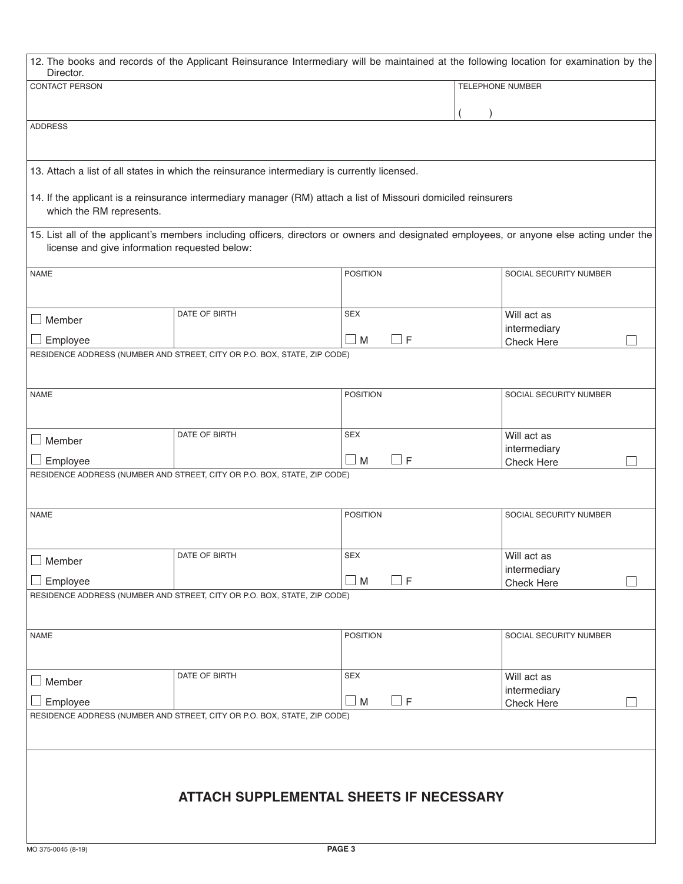| Director.                                                                |                                                                                              | 12. The books and records of the Applicant Reinsurance Intermediary will be maintained at the following location for examination by the   |                             |  |  |
|--------------------------------------------------------------------------|----------------------------------------------------------------------------------------------|-------------------------------------------------------------------------------------------------------------------------------------------|-----------------------------|--|--|
| <b>CONTACT PERSON</b>                                                    |                                                                                              |                                                                                                                                           | TELEPHONE NUMBER            |  |  |
|                                                                          |                                                                                              |                                                                                                                                           |                             |  |  |
| <b>ADDRESS</b>                                                           |                                                                                              |                                                                                                                                           |                             |  |  |
|                                                                          |                                                                                              |                                                                                                                                           |                             |  |  |
|                                                                          | 13. Attach a list of all states in which the reinsurance intermediary is currently licensed. |                                                                                                                                           |                             |  |  |
|                                                                          |                                                                                              |                                                                                                                                           |                             |  |  |
| which the RM represents.                                                 |                                                                                              | 14. If the applicant is a reinsurance intermediary manager (RM) attach a list of Missouri domiciled reinsurers                            |                             |  |  |
|                                                                          | license and give information requested below:                                                | 15. List all of the applicant's members including officers, directors or owners and designated employees, or anyone else acting under the |                             |  |  |
| <b>NAME</b>                                                              |                                                                                              | <b>POSITION</b>                                                                                                                           | SOCIAL SECURITY NUMBER      |  |  |
|                                                                          |                                                                                              |                                                                                                                                           |                             |  |  |
| $\Box$ Member                                                            | DATE OF BIRTH                                                                                | <b>SEX</b>                                                                                                                                | Will act as                 |  |  |
|                                                                          |                                                                                              |                                                                                                                                           | intermediary                |  |  |
| Employee                                                                 | RESIDENCE ADDRESS (NUMBER AND STREET, CITY OR P.O. BOX, STATE, ZIP CODE)                     | $\Box$ M<br>$\Box$ F                                                                                                                      | Check Here                  |  |  |
|                                                                          |                                                                                              |                                                                                                                                           |                             |  |  |
|                                                                          |                                                                                              |                                                                                                                                           |                             |  |  |
| <b>NAME</b>                                                              |                                                                                              | <b>POSITION</b>                                                                                                                           | SOCIAL SECURITY NUMBER      |  |  |
|                                                                          |                                                                                              |                                                                                                                                           |                             |  |  |
| $\Box$ Member                                                            | DATE OF BIRTH                                                                                | <b>SEX</b>                                                                                                                                | Will act as                 |  |  |
| Employee                                                                 |                                                                                              | $\Box$ F<br>$\square$ M                                                                                                                   | intermediary<br>Check Here  |  |  |
|                                                                          | RESIDENCE ADDRESS (NUMBER AND STREET, CITY OR P.O. BOX, STATE, ZIP CODE)                     |                                                                                                                                           |                             |  |  |
|                                                                          |                                                                                              |                                                                                                                                           |                             |  |  |
| <b>NAME</b>                                                              |                                                                                              | <b>POSITION</b>                                                                                                                           | SOCIAL SECURITY NUMBER      |  |  |
|                                                                          |                                                                                              |                                                                                                                                           |                             |  |  |
|                                                                          |                                                                                              |                                                                                                                                           |                             |  |  |
| Member                                                                   | DATE OF BIRTH                                                                                | SEX                                                                                                                                       | Will act as<br>intermediary |  |  |
| Employee                                                                 |                                                                                              | $\Box$ F<br>$\Box$ M                                                                                                                      | Check Here                  |  |  |
| RESIDENCE ADDRESS (NUMBER AND STREET, CITY OR P.O. BOX, STATE, ZIP CODE) |                                                                                              |                                                                                                                                           |                             |  |  |
|                                                                          |                                                                                              |                                                                                                                                           |                             |  |  |
| <b>NAME</b>                                                              |                                                                                              | <b>POSITION</b>                                                                                                                           | SOCIAL SECURITY NUMBER      |  |  |
|                                                                          |                                                                                              |                                                                                                                                           |                             |  |  |
|                                                                          | DATE OF BIRTH                                                                                | <b>SEX</b>                                                                                                                                | Will act as                 |  |  |
| Member<br>- 1                                                            |                                                                                              |                                                                                                                                           | intermediary                |  |  |
| Employee                                                                 | RESIDENCE ADDRESS (NUMBER AND STREET, CITY OR P.O. BOX, STATE, ZIP CODE)                     | $\Box$ F<br>$\Box$ M                                                                                                                      | Check Here                  |  |  |
|                                                                          |                                                                                              |                                                                                                                                           |                             |  |  |
|                                                                          |                                                                                              |                                                                                                                                           |                             |  |  |
|                                                                          |                                                                                              |                                                                                                                                           |                             |  |  |
|                                                                          |                                                                                              |                                                                                                                                           |                             |  |  |
|                                                                          |                                                                                              | <b>ATTACH SUPPLEMENTAL SHEETS IF NECESSARY</b>                                                                                            |                             |  |  |
|                                                                          |                                                                                              |                                                                                                                                           |                             |  |  |
|                                                                          |                                                                                              |                                                                                                                                           |                             |  |  |
| MO 375-0045 (8-19)                                                       |                                                                                              | PAGE 3                                                                                                                                    |                             |  |  |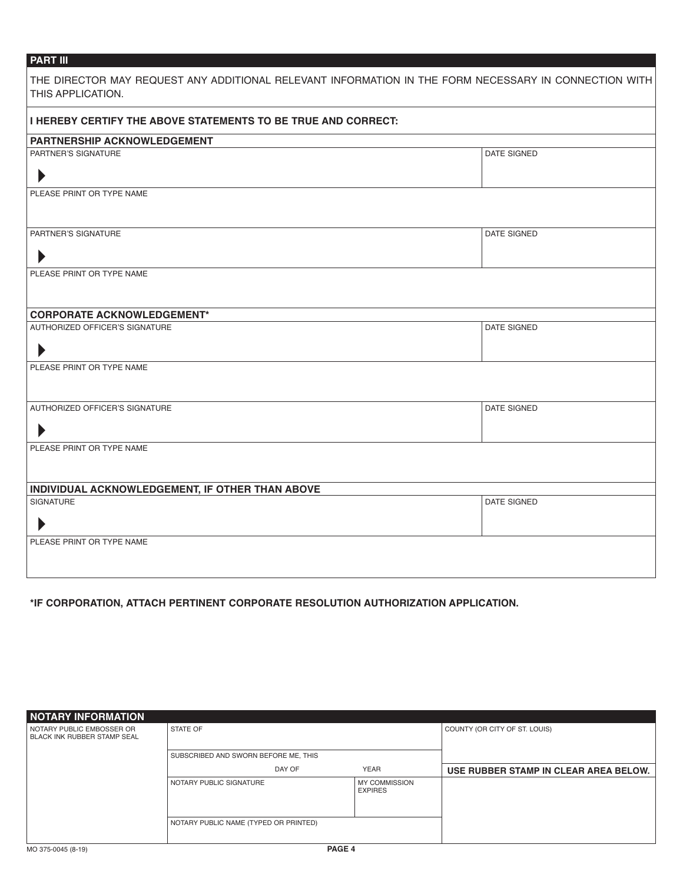## **PART III**

| THE DIRECTOR MAY REQUEST ANY ADDITIONAL RELEVANT INFORMATION IN THE FORM NECESSARY IN CONNECTION WITH<br>THIS APPLICATION. |             |
|----------------------------------------------------------------------------------------------------------------------------|-------------|
| I HEREBY CERTIFY THE ABOVE STATEMENTS TO BE TRUE AND CORRECT:                                                              |             |
| <b>PARTNERSHIP ACKNOWLEDGEMENT</b>                                                                                         |             |
| PARTNER'S SIGNATURE<br>$\blacktriangleright$                                                                               | DATE SIGNED |
| PLEASE PRINT OR TYPE NAME                                                                                                  |             |
| PARTNER'S SIGNATURE<br>$\blacktriangleright$                                                                               | DATE SIGNED |
| PLEASE PRINT OR TYPE NAME                                                                                                  |             |
| <b>CORPORATE ACKNOWLEDGEMENT*</b>                                                                                          |             |
| AUTHORIZED OFFICER'S SIGNATURE<br>$\blacktriangleright$                                                                    | DATE SIGNED |
| PLEASE PRINT OR TYPE NAME                                                                                                  |             |
| AUTHORIZED OFFICER'S SIGNATURE<br>$\blacktriangleright$                                                                    | DATE SIGNED |
| PLEASE PRINT OR TYPE NAME                                                                                                  |             |
| INDIVIDUAL ACKNOWLEDGEMENT, IF OTHER THAN ABOVE                                                                            |             |
| SIGNATURE<br>$\blacktriangleright$                                                                                         | DATE SIGNED |
| PLEASE PRINT OR TYPE NAME                                                                                                  |             |

**\*IF CORPORATION, ATTACH PERTINENT CORPORATE RESOLUTION AUTHORIZATION APPLICATION.**

| <b>NOTARY INFORMATION</b>                                       |                                       |                                        |                                       |
|-----------------------------------------------------------------|---------------------------------------|----------------------------------------|---------------------------------------|
| NOTARY PUBLIC EMBOSSER OR<br><b>BLACK INK RUBBER STAMP SEAL</b> | STATE OF                              |                                        | COUNTY (OR CITY OF ST. LOUIS)         |
|                                                                 | SUBSCRIBED AND SWORN BEFORE ME, THIS  |                                        |                                       |
|                                                                 | DAY OF                                | <b>YEAR</b>                            | USE RUBBER STAMP IN CLEAR AREA BELOW. |
|                                                                 | NOTARY PUBLIC SIGNATURE               | <b>MY COMMISSION</b><br><b>EXPIRES</b> |                                       |
|                                                                 | NOTARY PUBLIC NAME (TYPED OR PRINTED) |                                        |                                       |
| MO 375-0045 (8-19)                                              | PAGE 4                                |                                        |                                       |